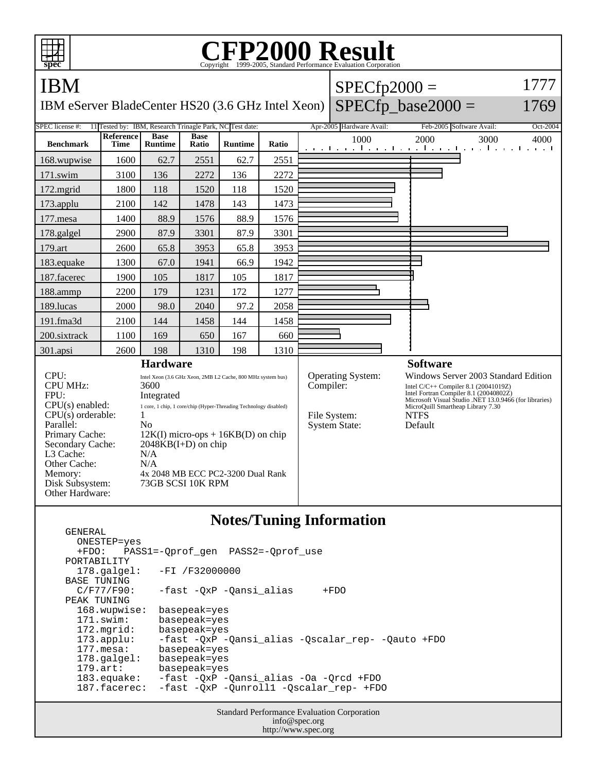| <b>IBM</b><br><b>SPEC</b> license #:                                                                                                                                                                                                                                                                                                                                                                                                                                                                                                 | Reference   |                                                          |                                                                                   |                |       |                                                                        |                                                                                                                                                                                                                                                 | <b>CFP2000 Result</b><br>Copyright ©1999-2005, Standard Performance Evaluation Corporation<br>spec |  |  |  |  |  |  |  |  |
|--------------------------------------------------------------------------------------------------------------------------------------------------------------------------------------------------------------------------------------------------------------------------------------------------------------------------------------------------------------------------------------------------------------------------------------------------------------------------------------------------------------------------------------|-------------|----------------------------------------------------------|-----------------------------------------------------------------------------------|----------------|-------|------------------------------------------------------------------------|-------------------------------------------------------------------------------------------------------------------------------------------------------------------------------------------------------------------------------------------------|----------------------------------------------------------------------------------------------------|--|--|--|--|--|--|--|--|
|                                                                                                                                                                                                                                                                                                                                                                                                                                                                                                                                      |             |                                                          |                                                                                   |                |       | $SPECfp2000 =$                                                         |                                                                                                                                                                                                                                                 | 1777                                                                                               |  |  |  |  |  |  |  |  |
|                                                                                                                                                                                                                                                                                                                                                                                                                                                                                                                                      |             |                                                          | $SPECfp\_base2000 =$<br>IBM eServer BladeCenter HS20 (3.6 GHz Intel Xeon)<br>1769 |                |       |                                                                        |                                                                                                                                                                                                                                                 |                                                                                                    |  |  |  |  |  |  |  |  |
|                                                                                                                                                                                                                                                                                                                                                                                                                                                                                                                                      |             | 11 Tested by: IBM, Research Trinagle Park, NC Test date: |                                                                                   |                |       |                                                                        | Feb-2005 Software Avail:                                                                                                                                                                                                                        | Oct-2004                                                                                           |  |  |  |  |  |  |  |  |
| <b>Benchmark</b>                                                                                                                                                                                                                                                                                                                                                                                                                                                                                                                     | <b>Time</b> | <b>Base</b><br><b>Runtime</b>                            | <b>Base</b><br>Ratio                                                              | <b>Runtime</b> | Ratio | 1000<br>and the model computer and the model of                        | 2000<br>3000<br>$1 \cdot \cdot \cdot$                                                                                                                                                                                                           | 4000                                                                                               |  |  |  |  |  |  |  |  |
| 168.wupwise                                                                                                                                                                                                                                                                                                                                                                                                                                                                                                                          | 1600        | 62.7                                                     | 2551                                                                              | 62.7           | 2551  |                                                                        |                                                                                                                                                                                                                                                 |                                                                                                    |  |  |  |  |  |  |  |  |
| 171.swim                                                                                                                                                                                                                                                                                                                                                                                                                                                                                                                             | 3100        | 136                                                      | 2272                                                                              | 136            | 2272  |                                                                        |                                                                                                                                                                                                                                                 |                                                                                                    |  |  |  |  |  |  |  |  |
| 172.mgrid                                                                                                                                                                                                                                                                                                                                                                                                                                                                                                                            | 1800        | 118                                                      | 1520                                                                              | 118            | 1520  |                                                                        |                                                                                                                                                                                                                                                 |                                                                                                    |  |  |  |  |  |  |  |  |
| 173.applu                                                                                                                                                                                                                                                                                                                                                                                                                                                                                                                            | 2100        | 142                                                      | 1478                                                                              | 143            | 1473  |                                                                        |                                                                                                                                                                                                                                                 |                                                                                                    |  |  |  |  |  |  |  |  |
| $177$ .mesa                                                                                                                                                                                                                                                                                                                                                                                                                                                                                                                          | 1400        | 88.9                                                     | 1576                                                                              | 88.9           | 1576  |                                                                        |                                                                                                                                                                                                                                                 |                                                                                                    |  |  |  |  |  |  |  |  |
| 178.galgel                                                                                                                                                                                                                                                                                                                                                                                                                                                                                                                           | 2900        | 87.9                                                     | 3301                                                                              | 87.9           | 3301  |                                                                        |                                                                                                                                                                                                                                                 |                                                                                                    |  |  |  |  |  |  |  |  |
| 179.art                                                                                                                                                                                                                                                                                                                                                                                                                                                                                                                              | 2600        | 65.8                                                     | 3953                                                                              | 65.8           | 3953  |                                                                        |                                                                                                                                                                                                                                                 |                                                                                                    |  |  |  |  |  |  |  |  |
| 183.equake                                                                                                                                                                                                                                                                                                                                                                                                                                                                                                                           | 1300        | 67.0                                                     | 1941                                                                              | 66.9           | 1942  |                                                                        |                                                                                                                                                                                                                                                 |                                                                                                    |  |  |  |  |  |  |  |  |
| 187.facerec                                                                                                                                                                                                                                                                                                                                                                                                                                                                                                                          | 1900        | 105                                                      | 1817                                                                              | 105            | 1817  |                                                                        |                                                                                                                                                                                                                                                 |                                                                                                    |  |  |  |  |  |  |  |  |
| 188.ammp                                                                                                                                                                                                                                                                                                                                                                                                                                                                                                                             | 2200        | 179                                                      | 1231                                                                              | 172            | 1277  |                                                                        |                                                                                                                                                                                                                                                 |                                                                                                    |  |  |  |  |  |  |  |  |
| 189.lucas                                                                                                                                                                                                                                                                                                                                                                                                                                                                                                                            | 2000        | 98.0                                                     | 2040                                                                              | 97.2           | 2058  |                                                                        |                                                                                                                                                                                                                                                 |                                                                                                    |  |  |  |  |  |  |  |  |
| 191.fma3d                                                                                                                                                                                                                                                                                                                                                                                                                                                                                                                            | 2100        | 144                                                      | 1458                                                                              | 144            | 1458  |                                                                        |                                                                                                                                                                                                                                                 |                                                                                                    |  |  |  |  |  |  |  |  |
| 200.sixtrack                                                                                                                                                                                                                                                                                                                                                                                                                                                                                                                         | 1100        | 169                                                      | 650                                                                               | 167            | 660   |                                                                        |                                                                                                                                                                                                                                                 |                                                                                                    |  |  |  |  |  |  |  |  |
| 301.apsi                                                                                                                                                                                                                                                                                                                                                                                                                                                                                                                             | 2600        | 198                                                      | 1310                                                                              | 198            | 1310  |                                                                        |                                                                                                                                                                                                                                                 |                                                                                                    |  |  |  |  |  |  |  |  |
| <b>Hardware</b>                                                                                                                                                                                                                                                                                                                                                                                                                                                                                                                      |             |                                                          |                                                                                   |                |       |                                                                        | <b>Software</b>                                                                                                                                                                                                                                 |                                                                                                    |  |  |  |  |  |  |  |  |
| CPU:<br>Intel Xeon (3.6 GHz Xeon, 2MB L2 Cache, 800 MHz system bus)<br><b>CPU MHz:</b><br>3600<br>FPU:<br>Integrated<br>$CPU(s)$ enabled:<br>1 core, 1 chip, 1 core/chip (Hyper-Threading Technology disabled)<br>CPU(s) orderable:<br>1<br>Parallel:<br>N <sub>0</sub><br>Primary Cache:<br>$12K(I)$ micro-ops + 16KB(D) on chip<br>Secondary Cache:<br>$2048KB(I+D)$ on chip<br>L3 Cache:<br>N/A<br>Other Cache:<br>N/A<br>Memory:<br>4x 2048 MB ECC PC2-3200 Dual Rank<br>Disk Subsystem:<br>73GB SCSI 10K RPM<br>Other Hardware: |             |                                                          |                                                                                   |                |       | Operating System:<br>Compiler:<br>File System:<br><b>System State:</b> | Windows Server 2003 Standard Edition<br>Intel C/C++ Compiler 8.1 (20041019Z)<br>Intel Fortran Compiler 8.1 (20040802Z)<br>Microsoft Visual Studio .NET 13.0.9466 (for libraries)<br>MicroQuill Smartheap Library 7.30<br><b>NTFS</b><br>Default |                                                                                                    |  |  |  |  |  |  |  |  |

## **Notes/Tuning Information**

Standard Performance Evaluation Corporation ONESTEP=yes<br>+FDO: PAS; PASS1=-Qprof\_gen PASS2=-Qprof\_use PORTABILITY<br>178.galgel: -FI /F32000000 BASE TUNING<br>C/F77/F90: -fast -QxP -Qansi\_alias +FDO PEAK TUNING 168.wupwise: basepeak=yes 171.swim: basepeak=yes<br>172.mgrid: basepeak=yes 172.mgrid: basepeak=yes<br>173.applu: -fast -QxP - 173.applu: -fast -QxP -Qansi\_alias -Qscalar\_rep- -Qauto +FDO 177.mesa: basepeak=yes<br>178.galgel: basepeak=yes 178.galgel: basepeak=yes<br>179.art: basepeak=yes basepeak=yes 183.equake: -fast -QxP -Qansi\_alias -Oa -Qrcd +FDO 187.facerec: -fast -QxP -Qunroll1 -Qscalar\_rep- +FDO

GENERAL

info@spec.org http://www.spec.org